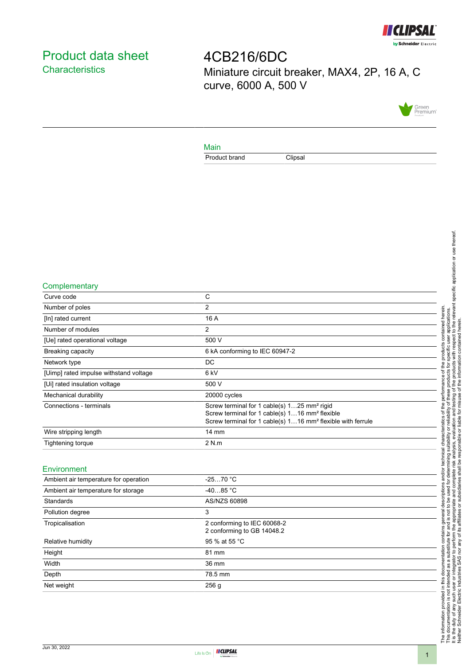

# <span id="page-0-0"></span>Product data sheet **Characteristics**

4CB216/6DC Miniature circuit breaker, MAX4, 2P, 16 A, C curve, 6000 A, 500 V



#### Main

Product brand Clipsal

#### **Complementary**

| Curve code                             | С                                                                                                                                                                                                |
|----------------------------------------|--------------------------------------------------------------------------------------------------------------------------------------------------------------------------------------------------|
| Number of poles                        | 2                                                                                                                                                                                                |
| [In] rated current                     | 16 A                                                                                                                                                                                             |
| Number of modules                      | 2                                                                                                                                                                                                |
| [Ue] rated operational voltage         | 500 V                                                                                                                                                                                            |
| Breaking capacity                      | 6 kA conforming to IEC 60947-2                                                                                                                                                                   |
| Network type                           | DC                                                                                                                                                                                               |
| [Uimp] rated impulse withstand voltage | 6 kV                                                                                                                                                                                             |
| [Ui] rated insulation voltage          | 500 V                                                                                                                                                                                            |
| Mechanical durability                  | 20000 cycles                                                                                                                                                                                     |
| Connections - terminals                | Screw terminal for 1 cable(s) 125 mm <sup>2</sup> rigid<br>Screw terminal for 1 cable(s) 116 mm <sup>2</sup> flexible<br>Screw terminal for 1 cable(s) 116 mm <sup>2</sup> flexible with ferrule |
| Wire stripping length                  | $14 \text{ mm}$                                                                                                                                                                                  |
| Tightening torque                      | 2 N.m                                                                                                                                                                                            |
|                                        |                                                                                                                                                                                                  |

#### Environment

| Ambient air temperature for operation | $-2570 °C$                                                |  |
|---------------------------------------|-----------------------------------------------------------|--|
| Ambient air temperature for storage   | $-4085 °C$                                                |  |
| Standards                             | AS/NZS 60898                                              |  |
| Pollution degree                      | 3                                                         |  |
| Tropicalisation                       | 2 conforming to IEC 60068-2<br>2 conforming to GB 14048.2 |  |
| Relative humidity                     | 95 % at 55 °C                                             |  |
| Height                                | 81 mm                                                     |  |
| Width                                 | 36 mm                                                     |  |
| Depth                                 | 78.5 mm                                                   |  |
| Net weight                            | 256 <sub>q</sub>                                          |  |
|                                       |                                                           |  |